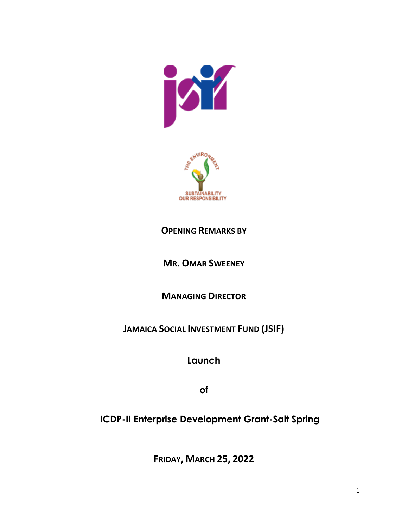



## **OPENING REMARKS BY**

**MR. OMAR SWEENEY**

**MANAGING DIRECTOR**

**JAMAICA SOCIAL INVESTMENT FUND (JSIF)**

**Launch**

**of**

 **ICDP-II Enterprise Development Grant-Salt Spring**

**FRIDAY, MARCH 25, 2022**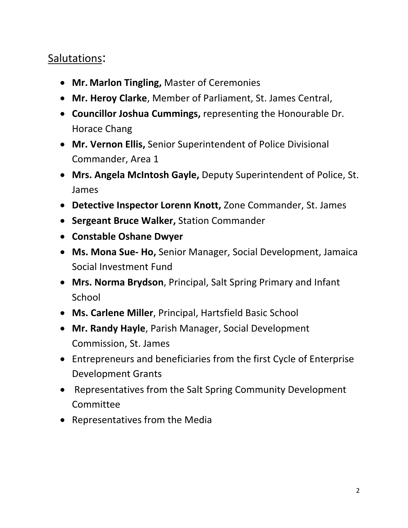## Salutations:

- **Mr. Marlon Tingling,** Master of Ceremonies
- **Mr. Heroy Clarke**, Member of Parliament, St. James Central,
- **Councillor Joshua Cummings,** representing the Honourable Dr. Horace Chang
- **Mr. Vernon Ellis,** Senior Superintendent of Police Divisional Commander, Area 1
- **Mrs. Angela McIntosh Gayle,** Deputy Superintendent of Police, St. James
- **Detective Inspector Lorenn Knott,** Zone Commander, St. James
- **Sergeant Bruce Walker,** Station Commander
- **Constable Oshane Dwyer**
- **Ms. Mona Sue- Ho,** Senior Manager, Social Development, Jamaica Social Investment Fund
- **Mrs. Norma Brydson**, Principal, Salt Spring Primary and Infant **School**
- **Ms. Carlene Miller**, Principal, Hartsfield Basic School
- **Mr. Randy Hayle**, Parish Manager, Social Development Commission, St. James
- Entrepreneurs and beneficiaries from the first Cycle of Enterprise Development Grants
- Representatives from the Salt Spring Community Development Committee
- Representatives from the Media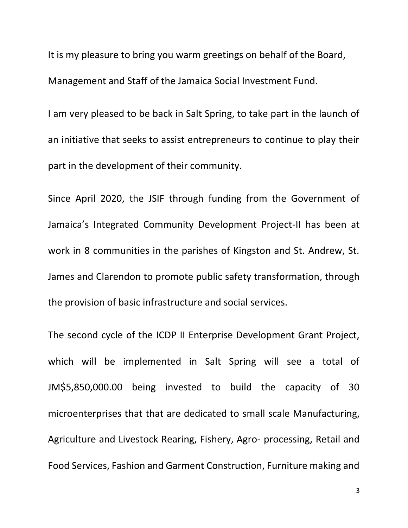It is my pleasure to bring you warm greetings on behalf of the Board, Management and Staff of the Jamaica Social Investment Fund.

I am very pleased to be back in Salt Spring, to take part in the launch of an initiative that seeks to assist entrepreneurs to continue to play their part in the development of their community.

Since April 2020, the JSIF through funding from the Government of Jamaica's Integrated Community Development Project-II has been at work in 8 communities in the parishes of Kingston and St. Andrew, St. James and Clarendon to promote public safety transformation, through the provision of basic infrastructure and social services.

The second cycle of the ICDP II Enterprise Development Grant Project, which will be implemented in Salt Spring will see a total of JM\$5,850,000.00 being invested to build the capacity of 30 microenterprises that that are dedicated to small scale Manufacturing, Agriculture and Livestock Rearing, Fishery, Agro- processing, Retail and Food Services, Fashion and Garment Construction, Furniture making and

3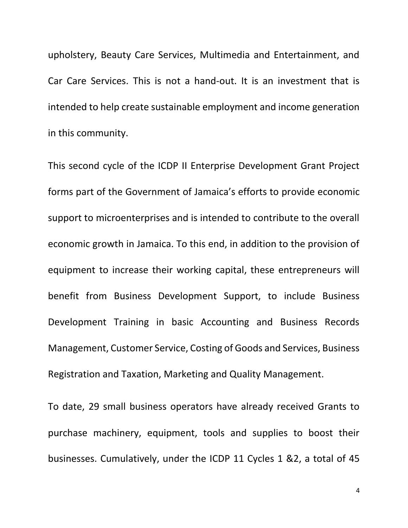upholstery, Beauty Care Services, Multimedia and Entertainment, and Car Care Services. This is not a hand-out. It is an investment that is intended to help create sustainable employment and income generation in this community.

This second cycle of the ICDP II Enterprise Development Grant Project forms part of the Government of Jamaica's efforts to provide economic support to microenterprises and is intended to contribute to the overall economic growth in Jamaica. To this end, in addition to the provision of equipment to increase their working capital, these entrepreneurs will benefit from Business Development Support, to include Business Development Training in basic Accounting and Business Records Management, Customer Service, Costing of Goods and Services, Business Registration and Taxation, Marketing and Quality Management.

To date, 29 small business operators have already received Grants to purchase machinery, equipment, tools and supplies to boost their businesses. Cumulatively, under the ICDP 11 Cycles 1 &2, a total of 45

4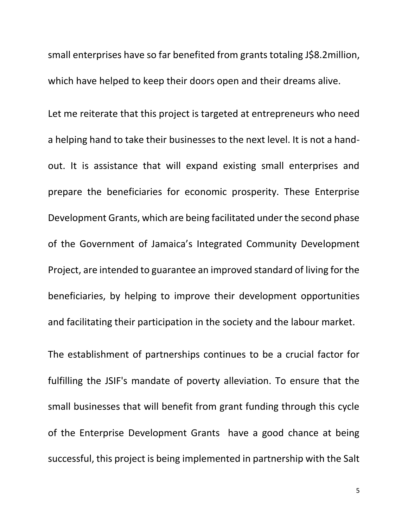small enterprises have so far benefited from grants totaling J\$8.2million, which have helped to keep their doors open and their dreams alive.

Let me reiterate that this project is targeted at entrepreneurs who need a helping hand to take their businesses to the next level. It is not a handout. It is assistance that will expand existing small enterprises and prepare the beneficiaries for economic prosperity. These Enterprise Development Grants, which are being facilitated under the second phase of the Government of Jamaica's Integrated Community Development Project, are intended to guarantee an improved standard of living for the beneficiaries, by helping to improve their development opportunities and facilitating their participation in the society and the labour market.

The establishment of partnerships continues to be a crucial factor for fulfilling the JSIF's mandate of poverty alleviation. To ensure that the small businesses that will benefit from grant funding through this cycle of the Enterprise Development Grants have a good chance at being successful, this project is being implemented in partnership with the Salt

5